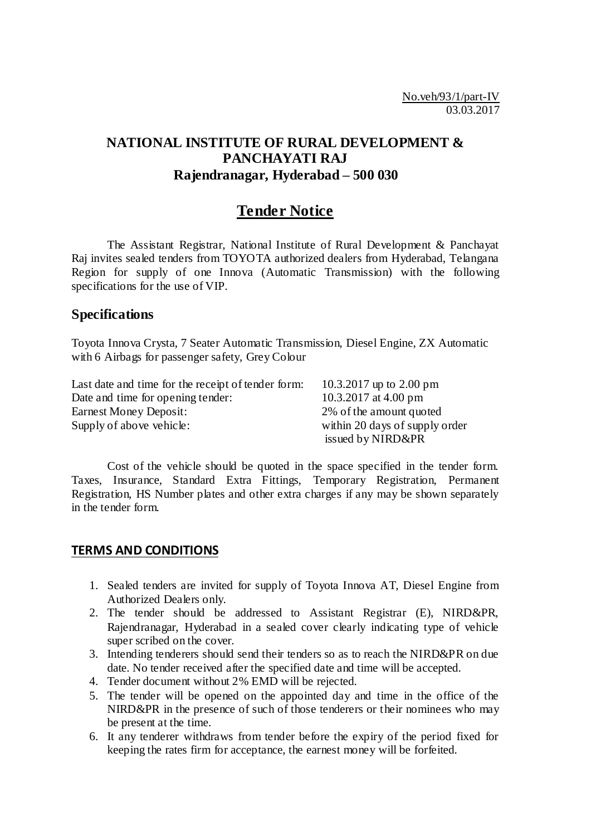# **NATIONAL INSTITUTE OF RURAL DEVELOPMENT & PANCHAYATI RAJ Rajendranagar, Hyderabad – 500 030**

# **Tender Notice**

The Assistant Registrar, National Institute of Rural Development & Panchayat Raj invites sealed tenders from TOYOTA authorized dealers from Hyderabad, Telangana Region for supply of one Innova (Automatic Transmission) with the following specifications for the use of VIP.

### **Specifications**

Toyota Innova Crysta, 7 Seater Automatic Transmission, Diesel Engine, ZX Automatic with 6 Airbags for passenger safety, Grey Colour

| Last date and time for the receipt of tender form: | 10.3.2017 up to 2.00 pm        |
|----------------------------------------------------|--------------------------------|
| Date and time for opening tender:                  | 10.3.2017 at 4.00 pm           |
| Earnest Money Deposit:                             | 2\% of the amount quoted       |
| Supply of above vehicle:                           | within 20 days of supply order |
|                                                    | issued by NIRD&PR              |

Cost of the vehicle should be quoted in the space specified in the tender form. Taxes, Insurance, Standard Extra Fittings, Temporary Registration, Permanent Registration, HS Number plates and other extra charges if any may be shown separately in the tender form.

### **TERMS AND CONDITIONS**

- 1. Sealed tenders are invited for supply of Toyota Innova AT, Diesel Engine from Authorized Dealers only.
- 2. The tender should be addressed to Assistant Registrar (E), NIRD&PR, Rajendranagar, Hyderabad in a sealed cover clearly indicating type of vehicle super scribed on the cover.
- 3. Intending tenderers should send their tenders so as to reach the NIRD&PR on due date. No tender received after the specified date and time will be accepted.
- 4. Tender document without 2% EMD will be rejected.
- 5. The tender will be opened on the appointed day and time in the office of the NIRD&PR in the presence of such of those tenderers or their nominees who may be present at the time.
- 6. It any tenderer withdraws from tender before the expiry of the period fixed for keeping the rates firm for acceptance, the earnest money will be forfeited.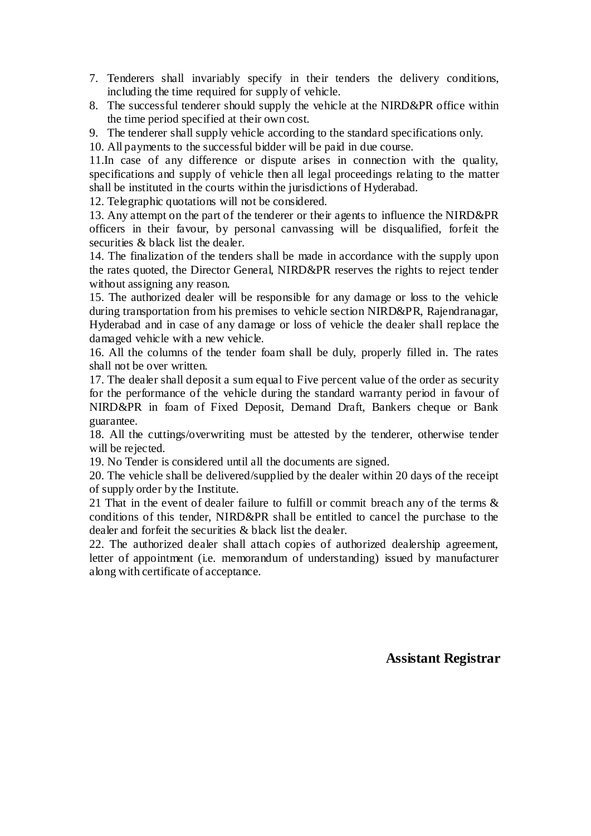- 7. Tenderers shall invariably specify in their tenders the delivery conditions, including the time required for supply of vehicle.
- 8. The successful tenderer should supply the vehicle at the NIRD&PR office within the time period specified at their own cost.
- 9. The tenderer shall supply vehicle according to the standard specifications only.
- 10. All payments to the successful bidder will be paid in due course.

11.In case of any difference or dispute arises in connection with the quality, specifications and supply of vehicle then all legal proceedings relating to the matter shall be instituted in the courts within the jurisdictions of Hyderabad.

12. Telegraphic quotations will not be considered.

13. Any attempt on the part of the tenderer or their agents to influence the NIRD&PR officers in their favour, by personal canvassing will be disqualified, forfeit the securities & black list the dealer.

14. The finalization of the tenders shall be made in accordance with the supply upon the rates quoted, the Director General, NIRD&PR reserves the rights to reject tender without assigning any reason.

15. The authorized dealer will be responsible for any damage or loss to the vehicle during transportation from his premises to vehicle section NIRD&PR, Rajendranagar, Hyderabad and in case of any damage or loss of vehicle the dealer shall replace the damaged vehicle with a new vehicle.

16. All the columns of the tender foam shall be duly, properly filled in. The rates shall not be over written.

17. The dealer shall deposit a sum equal to Five percent value of the order as security for the performance of the vehicle during the standard warranty period in favour of NIRD&PR in foam of Fixed Deposit, Demand Draft, Bankers cheque or Bank guarantee.

18. All the cuttings/overwriting must be attested by the tenderer, otherwise tender will be rejected.

19. No Tender is considered until all the documents are signed.

20. The vehicle shall be delivered/supplied by the dealer within 20 days of the receipt of supply order by the Institute.

21 That in the event of dealer failure to fulfill or commit breach any of the terms & conditions of this tender, NIRD&PR shall be entitled to cancel the purchase to the dealer and forfeit the securities & black list the dealer.

22. The authorized dealer shall attach copies of authorized dealership agreement, letter of appointment (i.e. memorandum of understanding) issued by manufacturer along with certificate of acceptance.

### **Assistant Registrar**